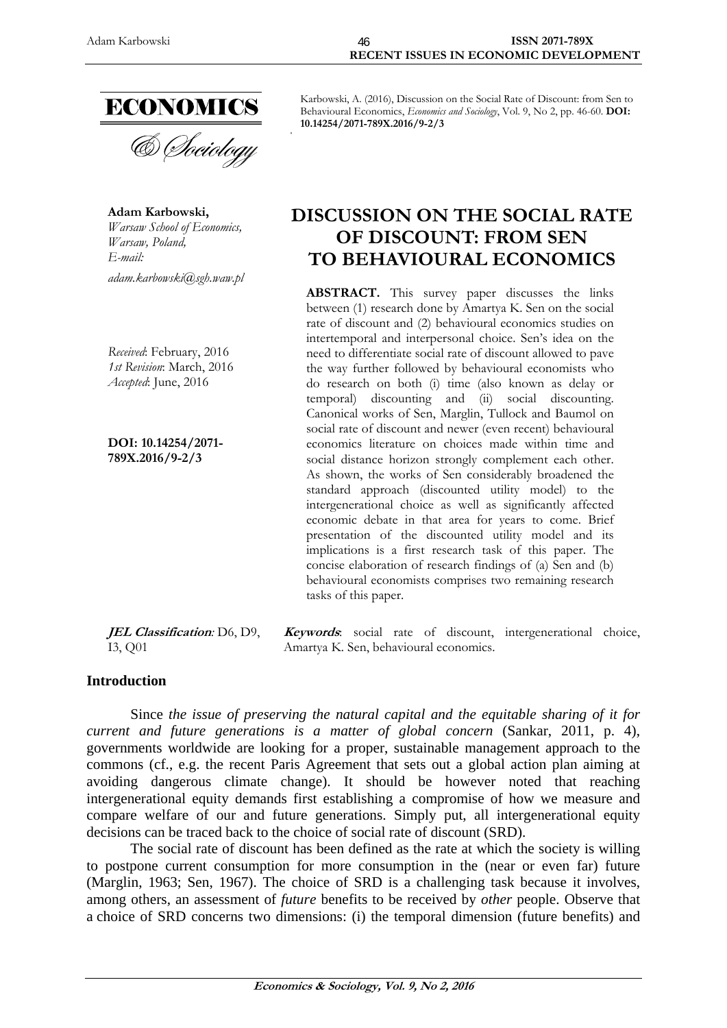

**Adam Karbowski,**  *Warsaw School of Economics, Warsaw, Poland, E-mail: adam.karbowski@sgh.waw.pl* 

*Received*: February, 2016 *1st Revision*: March, 2016 *Accepted*: June, 2016

**DOI: 10.14254/2071- 789X.2016/9-2/3**

**JEL Classification***:* D6, D9, I3, Q01

Karbowski, A. (2016), Discussion on the Social Rate of Discount: from Sen to Behavioural Economics, *Economics and Sociology*, Vol. 9, No 2, pp. 46-60. **DOI: 10.14254/2071-789X.2016/9-2/3** 

# **DISCUSSION ON THE SOCIAL RATE OF DISCOUNT: FROM SEN TO BEHAVIOURAL ECONOMICS**

**ABSTRACT.** This survey paper discusses the links between (1) research done by Amartya K. Sen on the social rate of discount and (2) behavioural economics studies on intertemporal and interpersonal choice. Sen's idea on the need to differentiate social rate of discount allowed to pave the way further followed by behavioural economists who do research on both (i) time (also known as delay or temporal) discounting and (ii) social discounting. Canonical works of Sen, Marglin, Tullock and Baumol on social rate of discount and newer (even recent) behavioural economics literature on choices made within time and social distance horizon strongly complement each other. As shown, the works of Sen considerably broadened the standard approach (discounted utility model) to the intergenerational choice as well as significantly affected economic debate in that area for years to come. Brief presentation of the discounted utility model and its implications is a first research task of this paper. The concise elaboration of research findings of (a) Sen and (b) behavioural economists comprises two remaining research tasks of this paper.

**Keywords**: social rate of discount, intergenerational choice, Amartya K. Sen, behavioural economics.

# **Introduction**

Since *the issue of preserving the natural capital and the equitable sharing of it for current and future generations is a matter of global concern* (Sankar, 2011, p. 4), governments worldwide are looking for a proper, sustainable management approach to the commons (cf., e.g. the recent Paris Agreement that sets out a global action plan aiming at avoiding dangerous climate change). It should be however noted that reaching intergenerational equity demands first establishing a compromise of how we measure and compare welfare of our and future generations. Simply put, all intergenerational equity decisions can be traced back to the choice of social rate of discount (SRD).

The social rate of discount has been defined as the rate at which the society is willing to postpone current consumption for more consumption in the (near or even far) future (Marglin, 1963; Sen, 1967). The choice of SRD is a challenging task because it involves, among others, an assessment of *future* benefits to be received by *other* people. Observe that a choice of SRD concerns two dimensions: (i) the temporal dimension (future benefits) and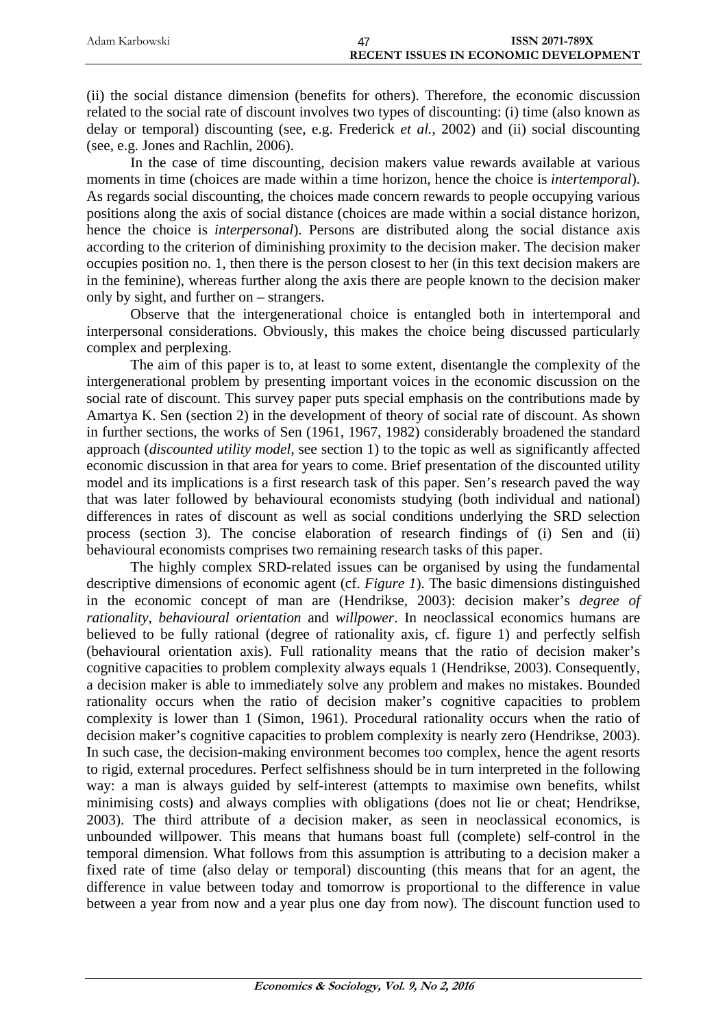| Adam Karbowski | <b>ISSN 2071-789X</b>                        |
|----------------|----------------------------------------------|
|                | <b>RECENT ISSUES IN ECONOMIC DEVELOPMENT</b> |

(ii) the social distance dimension (benefits for others). Therefore, the economic discussion related to the social rate of discount involves two types of discounting: (i) time (also known as delay or temporal) discounting (see, e.g. Frederick *et al.*, 2002) and (ii) social discounting (see, e.g. Jones and Rachlin, 2006).

In the case of time discounting, decision makers value rewards available at various moments in time (choices are made within a time horizon, hence the choice is *intertemporal*). As regards social discounting, the choices made concern rewards to people occupying various positions along the axis of social distance (choices are made within a social distance horizon, hence the choice is *interpersonal*). Persons are distributed along the social distance axis according to the criterion of diminishing proximity to the decision maker. The decision maker occupies position no. 1, then there is the person closest to her (in this text decision makers are in the feminine), whereas further along the axis there are people known to the decision maker only by sight, and further on – strangers.

Observe that the intergenerational choice is entangled both in intertemporal and interpersonal considerations. Obviously, this makes the choice being discussed particularly complex and perplexing.

The aim of this paper is to, at least to some extent, disentangle the complexity of the intergenerational problem by presenting important voices in the economic discussion on the social rate of discount. This survey paper puts special emphasis on the contributions made by Amartya K. Sen (section 2) in the development of theory of social rate of discount. As shown in further sections, the works of Sen (1961, 1967, 1982) considerably broadened the standard approach (*discounted utility model*, see section 1) to the topic as well as significantly affected economic discussion in that area for years to come. Brief presentation of the discounted utility model and its implications is a first research task of this paper. Sen's research paved the way that was later followed by behavioural economists studying (both individual and national) differences in rates of discount as well as social conditions underlying the SRD selection process (section 3). The concise elaboration of research findings of (i) Sen and (ii) behavioural economists comprises two remaining research tasks of this paper.

The highly complex SRD-related issues can be organised by using the fundamental descriptive dimensions of economic agent (cf. *Figure 1*). The basic dimensions distinguished in the economic concept of man are (Hendrikse, 2003): decision maker's *degree of rationality*, *behavioural orientation* and *willpower*. In neoclassical economics humans are believed to be fully rational (degree of rationality axis, cf. figure 1) and perfectly selfish (behavioural orientation axis). Full rationality means that the ratio of decision maker's cognitive capacities to problem complexity always equals 1 (Hendrikse, 2003). Consequently, a decision maker is able to immediately solve any problem and makes no mistakes. Bounded rationality occurs when the ratio of decision maker's cognitive capacities to problem complexity is lower than 1 (Simon, 1961). Procedural rationality occurs when the ratio of decision maker's cognitive capacities to problem complexity is nearly zero (Hendrikse, 2003). In such case, the decision-making environment becomes too complex, hence the agent resorts to rigid, external procedures. Perfect selfishness should be in turn interpreted in the following way: a man is always guided by self-interest (attempts to maximise own benefits, whilst minimising costs) and always complies with obligations (does not lie or cheat; Hendrikse, 2003). The third attribute of a decision maker, as seen in neoclassical economics, is unbounded willpower. This means that humans boast full (complete) self-control in the temporal dimension. What follows from this assumption is attributing to a decision maker a fixed rate of time (also delay or temporal) discounting (this means that for an agent, the difference in value between today and tomorrow is proportional to the difference in value between a year from now and a year plus one day from now). The discount function used to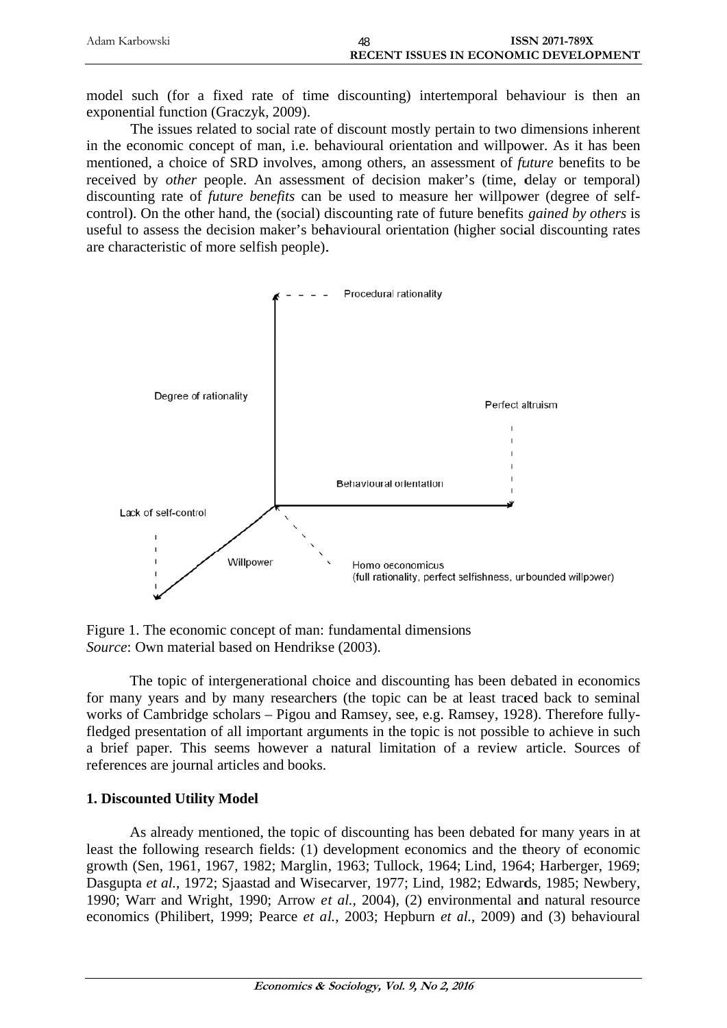| Adam Karbowski | 48 | <b>ISSN 2071-789X</b>                 |
|----------------|----|---------------------------------------|
|                |    | RECENT ISSUES IN ECONOMIC DEVELOPMENT |

model such (for a fixed rate of time discounting) intertemporal behaviour is then an exponential function (Graczyk, 2009).

The issues related to social rate of discount mostly pertain to two dimensions inherent in the economic concept of man, i.e. behavioural orientation and willpower. As it has been mentioned, a choice of SRD involves, among others, an assessment of *future* benefits to be received by *other* people. An assessment of decision maker's (time, delay or temporal) discounting rate of *future benefits* can be used to measure her willpower (degree of selfcontrol). On the other hand, the (social) discounting rate of future benefits *gained by others* is useful to assess the decision maker's behavioural orientation (higher social discounting rates are characteristic of more selfish people).



Figure 1. The economic concept of man: fundamental dimensions Source: Own material based on Hendrikse (2003).

The topic of intergenerational choice and discounting has been debated in economics for many years and by many researchers (the topic can be at least traced back to seminal works of Cambridge scholars – Pigou and Ramsey, see, e.g. Ramsey, 1928). Therefore fullyfledged presentation of all important arguments in the topic is not possible to achieve in such a brief paper. This seems however a natural limitation of a review article. Sources of references are journal articles and books.

# 1. Discounted Utility Model

As already mentioned, the topic of discounting has been debated for many years in at least the following research fields: (1) development economics and the theory of economic growth (Sen, 1961, 1967, 1982; Marglin, 1963; Tullock, 1964; Lind, 1964; Harberger, 1969; Dasgupta et al., 1972; Siaastad and Wisecarver, 1977; Lind, 1982; Edwards, 1985; Newbery, 1990; Warr and Wright, 1990; Arrow et al., 2004), (2) environmental and natural resource economics (Philibert, 1999; Pearce et al., 2003; Hepburn et al., 2009) and (3) behavioural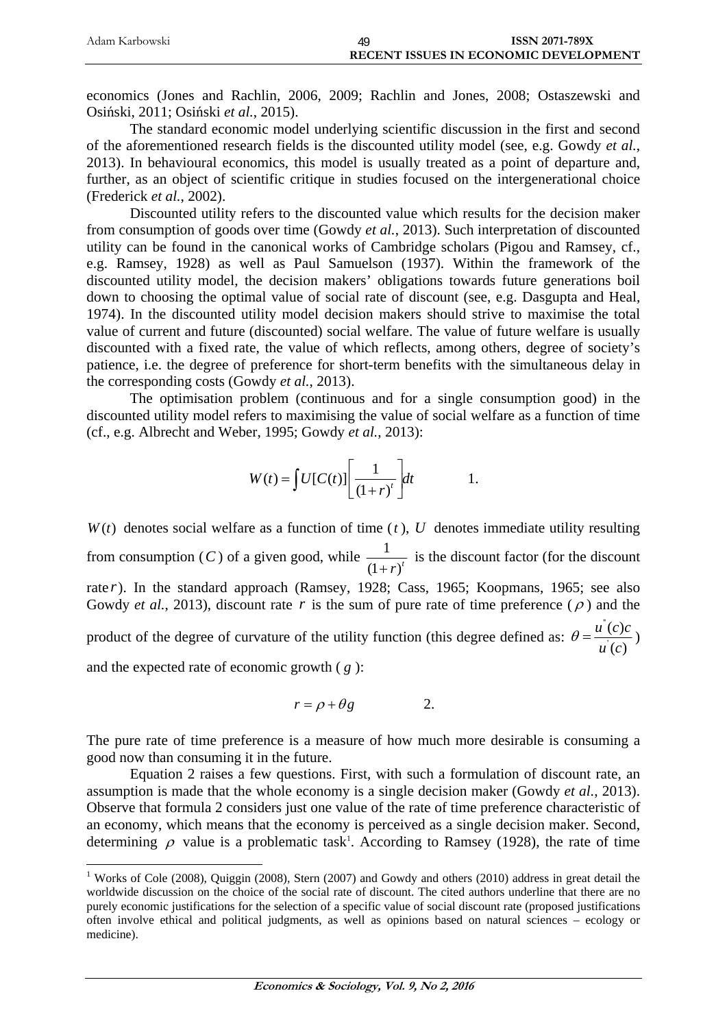| Adam Karbowski | <b>ISSN 2071-789X</b>                        |
|----------------|----------------------------------------------|
|                | <b>RECENT ISSUES IN ECONOMIC DEVELOPMENT</b> |

economics (Jones and Rachlin, 2006, 2009; Rachlin and Jones, 2008; Ostaszewski and Osiński, 2011; Osiński *et al.*, 2015).

The standard economic model underlying scientific discussion in the first and second of the aforementioned research fields is the discounted utility model (see, e.g. Gowdy *et al.*, 2013). In behavioural economics, this model is usually treated as a point of departure and, further, as an object of scientific critique in studies focused on the intergenerational choice (Frederick *et al.*, 2002).

Discounted utility refers to the discounted value which results for the decision maker from consumption of goods over time (Gowdy *et al.*, 2013). Such interpretation of discounted utility can be found in the canonical works of Cambridge scholars (Pigou and Ramsey, cf., e.g. Ramsey, 1928) as well as Paul Samuelson (1937). Within the framework of the discounted utility model, the decision makers' obligations towards future generations boil down to choosing the optimal value of social rate of discount (see, e.g. Dasgupta and Heal, 1974). In the discounted utility model decision makers should strive to maximise the total value of current and future (discounted) social welfare. The value of future welfare is usually discounted with a fixed rate, the value of which reflects, among others, degree of society's patience, i.e. the degree of preference for short-term benefits with the simultaneous delay in the corresponding costs (Gowdy *et al.*, 2013).

The optimisation problem (continuous and for a single consumption good) in the discounted utility model refers to maximising the value of social welfare as a function of time (cf., e.g. Albrecht and Weber, 1995; Gowdy *et al.*, 2013):

$$
W(t) = \int U[C(t)] \left[ \frac{1}{(1+r)^{t}} \right] dt \qquad 1.
$$

 $W(t)$  denotes social welfare as a function of time  $(t)$ ,  $U$  denotes immediate utility resulting from consumption  $(C)$  of a given good, while  $\frac{1}{1}$  $(1 + r)^t$  is the discount factor (for the discount rate *r*). In the standard approach (Ramsey, 1928; Cass, 1965; Koopmans, 1965; see also Gowdy *et al.*, 2013), discount rate r is the sum of pure rate of time preference ( $\rho$ ) and the product of the degree of curvature of the utility function (this degree defined as:  $\theta = \frac{u}{x}$ '  $(c)$  $\left( c\right)$  $u^{\dagger}(c)c$ *u c*  $\theta = \frac{u(c)c}{c}$ and the expected rate of economic growth ( *g* ):

$$
r = \rho + \theta g \qquad \qquad 2.
$$

The pure rate of time preference is a measure of how much more desirable is consuming a good now than consuming it in the future.

Equation 2 raises a few questions. First, with such a formulation of discount rate, an assumption is made that the whole economy is a single decision maker (Gowdy *et al.*, 2013). Observe that formula 2 considers just one value of the rate of time preference characteristic of an economy, which means that the economy is perceived as a single decision maker. Second, determining  $\rho$  value is a problematic task<sup>1</sup>. According to Ramsey (1928), the rate of time

<u>.</u>

<sup>&</sup>lt;sup>1</sup> Works of Cole (2008), Quiggin (2008), Stern (2007) and Gowdy and others (2010) address in great detail the worldwide discussion on the choice of the social rate of discount. The cited authors underline that there are no purely economic justifications for the selection of a specific value of social discount rate (proposed justifications often involve ethical and political judgments, as well as opinions based on natural sciences – ecology or medicine).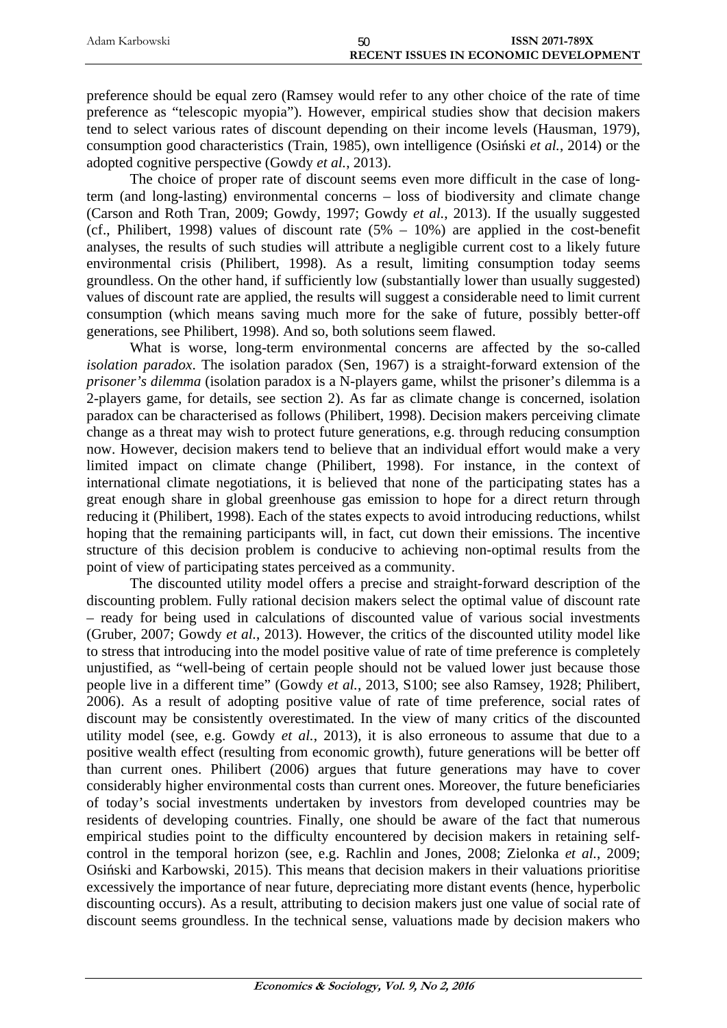| Adam Karbowski | 50 | <b>ISSN 2071-789X</b>                        |
|----------------|----|----------------------------------------------|
|                |    | <b>RECENT ISSUES IN ECONOMIC DEVELOPMENT</b> |

preference should be equal zero (Ramsey would refer to any other choice of the rate of time preference as "telescopic myopia"). However, empirical studies show that decision makers tend to select various rates of discount depending on their income levels (Hausman, 1979), consumption good characteristics (Train, 1985), own intelligence (Osiński *et al.*, 2014) or the adopted cognitive perspective (Gowdy *et al.*, 2013).

The choice of proper rate of discount seems even more difficult in the case of longterm (and long-lasting) environmental concerns – loss of biodiversity and climate change (Carson and Roth Tran, 2009; Gowdy, 1997; Gowdy *et al.*, 2013). If the usually suggested (cf., Philibert, 1998) values of discount rate  $(5% - 10%)$  are applied in the cost-benefit analyses, the results of such studies will attribute a negligible current cost to a likely future environmental crisis (Philibert, 1998). As a result, limiting consumption today seems groundless. On the other hand, if sufficiently low (substantially lower than usually suggested) values of discount rate are applied, the results will suggest a considerable need to limit current consumption (which means saving much more for the sake of future, possibly better-off generations, see Philibert, 1998). And so, both solutions seem flawed.

What is worse, long-term environmental concerns are affected by the so-called *isolation paradox*. The isolation paradox (Sen, 1967) is a straight-forward extension of the *prisoner's dilemma* (isolation paradox is a N-players game, whilst the prisoner's dilemma is a 2-players game, for details, see section 2). As far as climate change is concerned, isolation paradox can be characterised as follows (Philibert, 1998). Decision makers perceiving climate change as a threat may wish to protect future generations, e.g. through reducing consumption now. However, decision makers tend to believe that an individual effort would make a very limited impact on climate change (Philibert, 1998). For instance, in the context of international climate negotiations, it is believed that none of the participating states has a great enough share in global greenhouse gas emission to hope for a direct return through reducing it (Philibert, 1998). Each of the states expects to avoid introducing reductions, whilst hoping that the remaining participants will, in fact, cut down their emissions. The incentive structure of this decision problem is conducive to achieving non-optimal results from the point of view of participating states perceived as a community.

The discounted utility model offers a precise and straight-forward description of the discounting problem. Fully rational decision makers select the optimal value of discount rate – ready for being used in calculations of discounted value of various social investments (Gruber, 2007; Gowdy *et al.*, 2013). However, the critics of the discounted utility model like to stress that introducing into the model positive value of rate of time preference is completely unjustified, as "well-being of certain people should not be valued lower just because those people live in a different time" (Gowdy *et al.*, 2013, S100; see also Ramsey, 1928; Philibert, 2006). As a result of adopting positive value of rate of time preference, social rates of discount may be consistently overestimated. In the view of many critics of the discounted utility model (see, e.g. Gowdy *et al.*, 2013), it is also erroneous to assume that due to a positive wealth effect (resulting from economic growth), future generations will be better off than current ones. Philibert (2006) argues that future generations may have to cover considerably higher environmental costs than current ones. Moreover, the future beneficiaries of today's social investments undertaken by investors from developed countries may be residents of developing countries. Finally, one should be aware of the fact that numerous empirical studies point to the difficulty encountered by decision makers in retaining selfcontrol in the temporal horizon (see, e.g. Rachlin and Jones, 2008; Zielonka *et al.*, 2009; Osiński and Karbowski, 2015). This means that decision makers in their valuations prioritise excessively the importance of near future, depreciating more distant events (hence, hyperbolic discounting occurs). As a result, attributing to decision makers just one value of social rate of discount seems groundless. In the technical sense, valuations made by decision makers who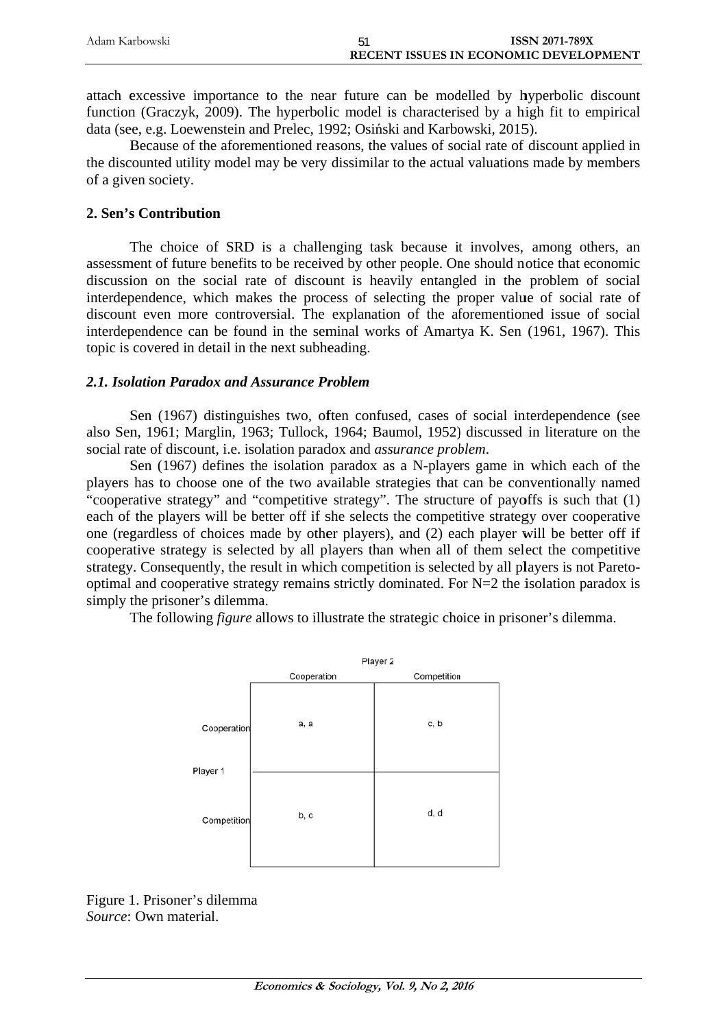| Adam Karbowski | <b>ISSN 2071-789X</b>                        |
|----------------|----------------------------------------------|
|                | <b>RECENT ISSUES IN ECONOMIC DEVELOPMENT</b> |

attach excessive importance to the near future can be modelled by hyperbolic discount function (Graczyk, 2009). The hyperbolic model is characterised by a high fit to empirical data (see, e.g. Loewenstein and Prelec, 1992; Osiński and Karbowski, 2015).

Because of the aforementioned reasons, the values of social rate of discount applied in the discounted utility model may be very dissimilar to the actual valuations made by members of a given society.

## 2. Sen's Contribution

The choice of SRD is a challenging task because it involves, among others, an assessment of future benefits to be received by other people. One should notice that economic discussion on the social rate of discount is heavily entangled in the problem of social interdependence, which makes the process of selecting the proper value of social rate of discount even more controversial. The explanation of the aforementioned issue of social interdependence can be found in the seminal works of Amartya K. Sen (1961, 1967). This topic is covered in detail in the next subheading.

## 2.1. Isolation Paradox and Assurance Problem

Sen (1967) distinguishes two, often confused, cases of social interdependence (see also Sen, 1961; Marglin, 1963; Tullock, 1964; Baumol, 1952) discussed in literature on the social rate of discount, i.e. isolation paradox and *assurance problem*.

Sen (1967) defines the isolation paradox as a N-players game in which each of the players has to choose one of the two available strategies that can be conventionally named "cooperative strategy" and "competitive strategy". The structure of payoffs is such that (1) each of the players will be better off if she selects the competitive strategy over cooperative one (regardless of choices made by other players), and (2) each player will be better off if cooperative strategy is selected by all players than when all of them select the competitive strategy. Consequently, the result in which competition is selected by all players is not Paretooptimal and cooperative strategy remains strictly dominated. For  $N=2$  the isolation paradox is simply the prisoner's dilemma.

The following *figure* allows to illustrate the strategic choice in prisoner's dilemma.



Figure 1. Prisoner's dilemma Source: Own material.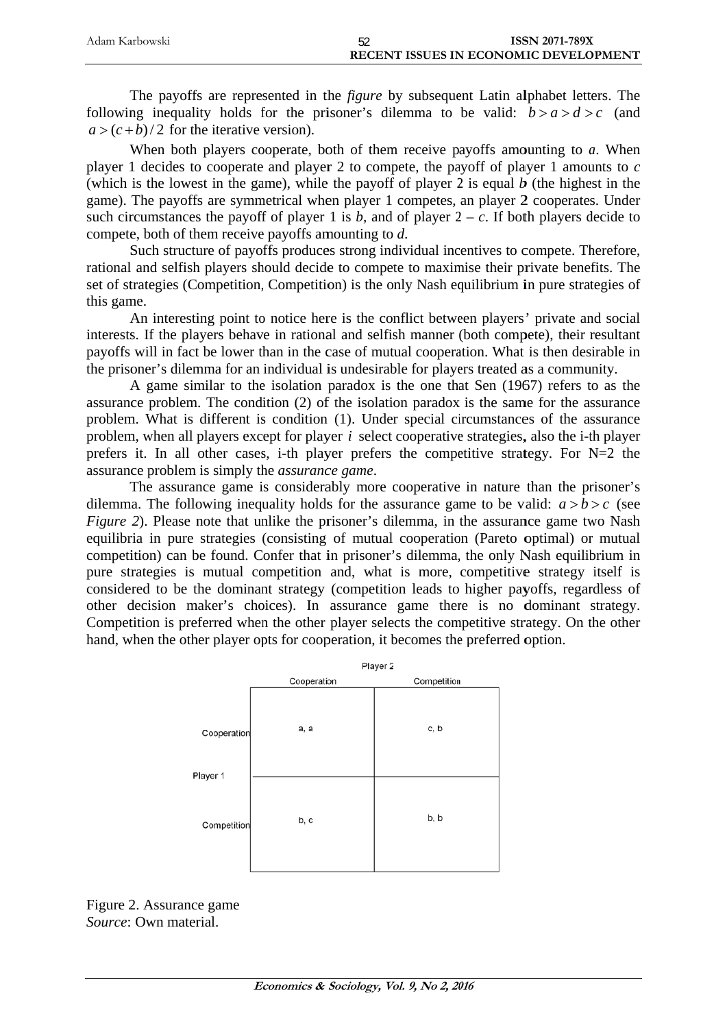| Adam Karbowski | <b>ISSN 2071-789X</b>                 |
|----------------|---------------------------------------|
|                | RECENT ISSUES IN ECONOMIC DEVELOPMENT |

The payoffs are represented in the *figure* by subsequent Latin alphabet letters. The following inequality holds for the prisoner's dilemma to be valid:  $b > a > d > c$  (and  $a > (c + b)/2$  for the iterative version).

When both players cooperate, both of them receive payoffs amounting to a. When player 1 decides to cooperate and player 2 to compete, the payoff of player 1 amounts to  $c$ (which is the lowest in the game), while the payoff of player 2 is equal  $b$  (the highest in the game). The payoffs are symmetrical when player 1 competes, an player 2 cooperates. Under such circumstances the payoff of player 1 is b, and of player  $2 - c$ . If both players decide to compete, both of them receive payoffs amounting to  $d$ .

Such structure of payoffs produces strong individual incentives to compete. Therefore, rational and selfish players should decide to compete to maximise their private benefits. The set of strategies (Competition, Competition) is the only Nash equilibrium in pure strategies of this game.

An interesting point to notice here is the conflict between players' private and social interests. If the players behave in rational and selfish manner (both compete), their resultant payoffs will in fact be lower than in the case of mutual cooperation. What is then desirable in the prisoner's dilemma for an individual is undesirable for players treated as a community.

A game similar to the isolation paradox is the one that Sen (1967) refers to as the assurance problem. The condition (2) of the isolation paradox is the same for the assurance problem. What is different is condition (1). Under special circumstances of the assurance problem, when all players except for player  $i$  select cooperative strategies, also the i-th player prefers it. In all other cases, i-th player prefers the competitive strategy. For N=2 the assurance problem is simply the *assurance game*.

The assurance game is considerably more cooperative in nature than the prisoner's dilemma. The following inequality holds for the assurance game to be valid:  $a > b > c$  (see *Figure 2).* Please note that unlike the prisoner's dilemma, in the assurance game two Nash equilibria in pure strategies (consisting of mutual cooperation (Pareto optimal) or mutual competition) can be found. Confer that in prisoner's dilemma, the only Nash equilibrium in pure strategies is mutual competition and, what is more, competitive strategy itself is considered to be the dominant strategy (competition leads to higher payoffs, regardless of other decision maker's choices). In assurance game there is no dominant strategy. Competition is preferred when the other player selects the competitive strategy. On the other hand, when the other player opts for cooperation, it becomes the preferred option.



Figure 2. Assurance game Source: Own material.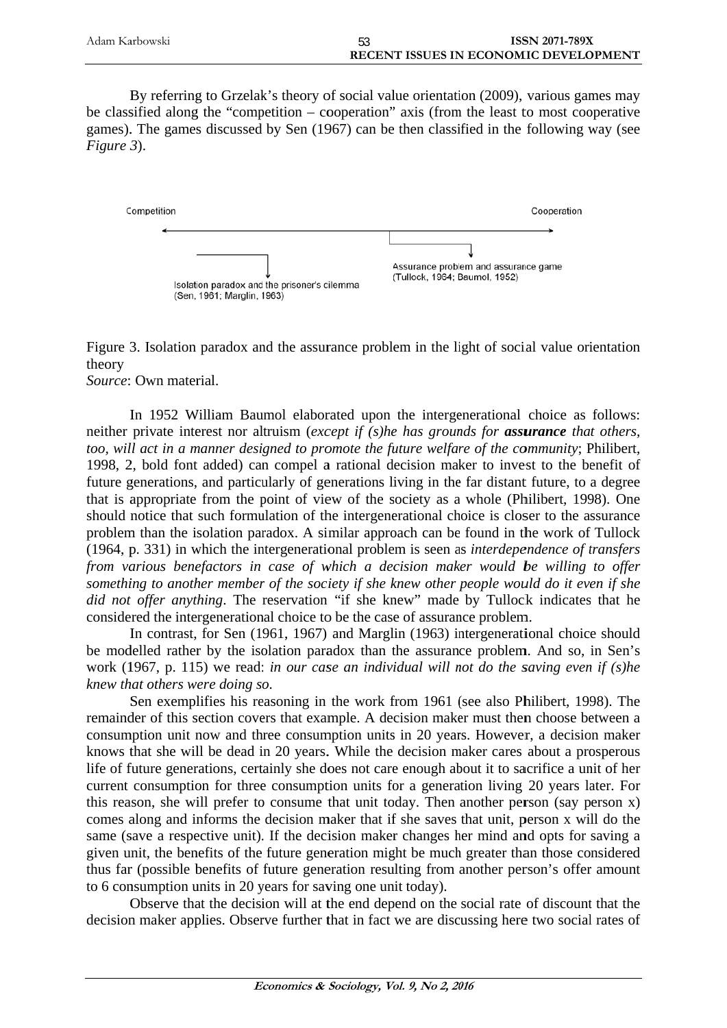| Adam Karbowski | <b>ISSN 2071-789X</b>                 |
|----------------|---------------------------------------|
|                | RECENT ISSUES IN ECONOMIC DEVELOPMENT |

By referring to Grzelak's theory of social value orientation (2009), various games may be classified along the "competition – cooperation" axis (from the least to most cooperative games). The games discussed by Sen (1967) can be then classified in the following way (see Figure 3).



Figure 3. Isolation paradox and the assurance problem in the light of social value orientation theory

Source: Own material.

In 1952 William Baumol elaborated upon the intergenerational choice as follows: neither private interest nor altruism (except if (s)he has grounds for **assurance** that others, too, will act in a manner designed to promote the future welfare of the community; Philibert, 1998, 2, bold font added) can compel a rational decision maker to invest to the benefit of future generations, and particularly of generations living in the far distant future, to a degree that is appropriate from the point of view of the society as a whole (Philibert, 1998). One should notice that such formulation of the intergenerational choice is closer to the assurance problem than the isolation paradox. A similar approach can be found in the work of Tullock (1964, p. 331) in which the intergenerational problem is seen as *interdependence of transfers* from various benefactors in case of which a decision maker would be willing to offer something to another member of the society if she knew other people would do it even if she did not offer anything. The reservation "if she knew" made by Tullock indicates that he considered the intergenerational choice to be the case of assurance problem.

In contrast, for Sen (1961, 1967) and Marglin (1963) intergenerational choice should be modelled rather by the isolation paradox than the assurance problem. And so, in Sen's work (1967, p. 115) we read: in our case an individual will not do the saving even if  $(s)$ he knew that others were doing so.

Sen exemplifies his reasoning in the work from 1961 (see also Philibert, 1998). The remainder of this section covers that example. A decision maker must then choose between a consumption unit now and three consumption units in 20 years. However, a decision maker knows that she will be dead in 20 years. While the decision maker cares about a prosperous life of future generations, certainly she does not care enough about it to sacrifice a unit of her current consumption for three consumption units for a generation living 20 years later. For this reason, she will prefer to consume that unit today. Then another person (say person x) comes along and informs the decision maker that if she saves that unit, person x will do the same (save a respective unit). If the decision maker changes her mind and opts for saving a given unit, the benefits of the future generation might be much greater than those considered thus far (possible benefits of future generation resulting from another person's offer amount to 6 consumption units in 20 years for saving one unit today).

Observe that the decision will at the end depend on the social rate of discount that the decision maker applies. Observe further that in fact we are discussing here two social rates of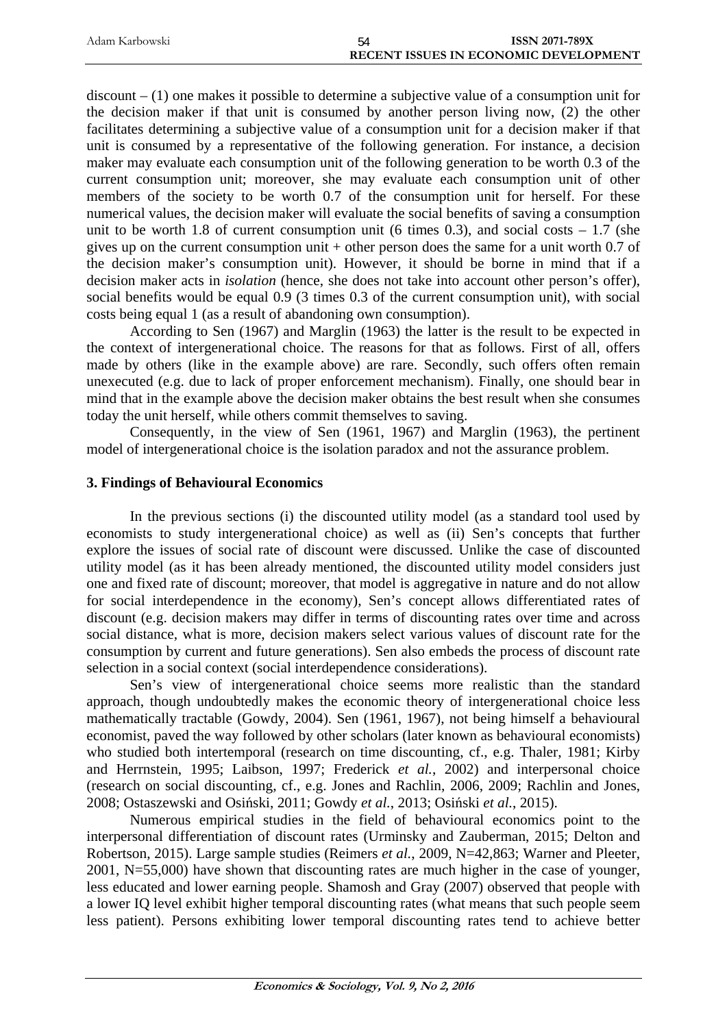| Adam Karbowski | ISSN 2071-789X<br>54                         |  |
|----------------|----------------------------------------------|--|
|                | <b>RECENT ISSUES IN ECONOMIC DEVELOPMENT</b> |  |

discount – (1) one makes it possible to determine a subjective value of a consumption unit for the decision maker if that unit is consumed by another person living now, (2) the other facilitates determining a subjective value of a consumption unit for a decision maker if that unit is consumed by a representative of the following generation. For instance, a decision maker may evaluate each consumption unit of the following generation to be worth 0.3 of the current consumption unit; moreover, she may evaluate each consumption unit of other members of the society to be worth 0.7 of the consumption unit for herself. For these numerical values, the decision maker will evaluate the social benefits of saving a consumption unit to be worth 1.8 of current consumption unit (6 times 0.3), and social costs  $-1.7$  (she gives up on the current consumption unit + other person does the same for a unit worth 0.7 of the decision maker's consumption unit). However, it should be borne in mind that if a decision maker acts in *isolation* (hence, she does not take into account other person's offer), social benefits would be equal 0.9 (3 times 0.3 of the current consumption unit), with social costs being equal 1 (as a result of abandoning own consumption).

According to Sen (1967) and Marglin (1963) the latter is the result to be expected in the context of intergenerational choice. The reasons for that as follows. First of all, offers made by others (like in the example above) are rare. Secondly, such offers often remain unexecuted (e.g. due to lack of proper enforcement mechanism). Finally, one should bear in mind that in the example above the decision maker obtains the best result when she consumes today the unit herself, while others commit themselves to saving.

Consequently, in the view of Sen (1961, 1967) and Marglin (1963), the pertinent model of intergenerational choice is the isolation paradox and not the assurance problem.

## **3. Findings of Behavioural Economics**

In the previous sections (i) the discounted utility model (as a standard tool used by economists to study intergenerational choice) as well as (ii) Sen's concepts that further explore the issues of social rate of discount were discussed. Unlike the case of discounted utility model (as it has been already mentioned, the discounted utility model considers just one and fixed rate of discount; moreover, that model is aggregative in nature and do not allow for social interdependence in the economy), Sen's concept allows differentiated rates of discount (e.g. decision makers may differ in terms of discounting rates over time and across social distance, what is more, decision makers select various values of discount rate for the consumption by current and future generations). Sen also embeds the process of discount rate selection in a social context (social interdependence considerations).

Sen's view of intergenerational choice seems more realistic than the standard approach, though undoubtedly makes the economic theory of intergenerational choice less mathematically tractable (Gowdy, 2004). Sen (1961, 1967), not being himself a behavioural economist, paved the way followed by other scholars (later known as behavioural economists) who studied both intertemporal (research on time discounting, cf., e.g. Thaler, 1981; Kirby and Herrnstein, 1995; Laibson, 1997; Frederick *et al.*, 2002) and interpersonal choice (research on social discounting, cf., e.g. Jones and Rachlin, 2006, 2009; Rachlin and Jones, 2008; Ostaszewski and Osiński, 2011; Gowdy *et al.*, 2013; Osiński *et al.*, 2015).

Numerous empirical studies in the field of behavioural economics point to the interpersonal differentiation of discount rates (Urminsky and Zauberman, 2015; Delton and Robertson, 2015). Large sample studies (Reimers *et al.*, 2009, N=42,863; Warner and Pleeter, 2001, N=55,000) have shown that discounting rates are much higher in the case of younger, less educated and lower earning people. Shamosh and Gray (2007) observed that people with a lower IQ level exhibit higher temporal discounting rates (what means that such people seem less patient). Persons exhibiting lower temporal discounting rates tend to achieve better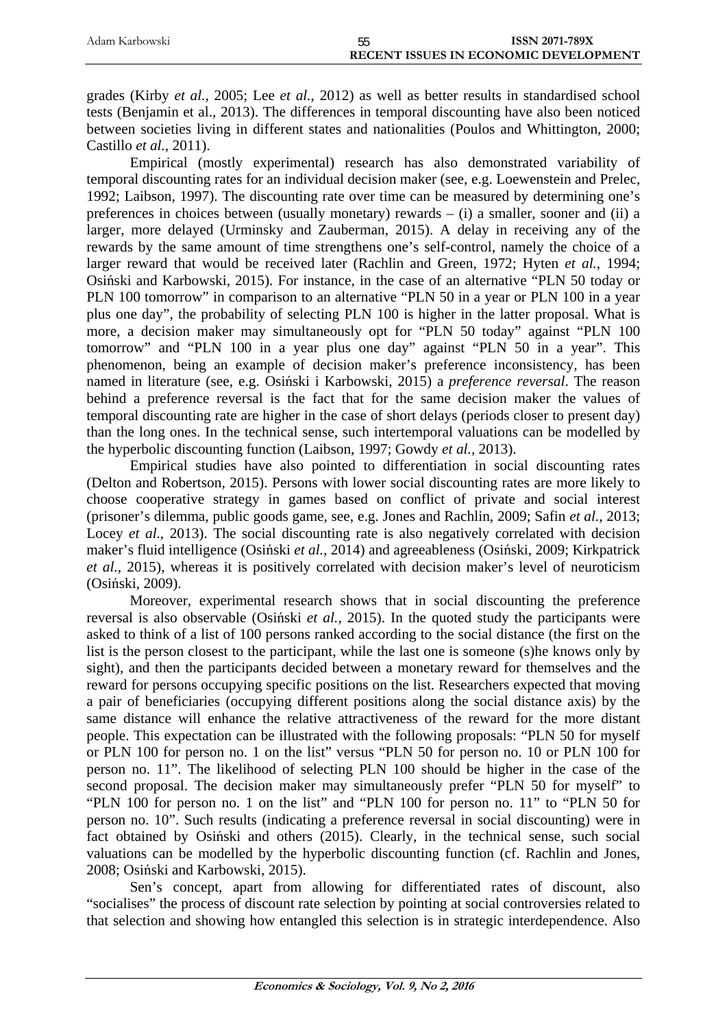| Adam Karbowski | 55                                           | <b>ISSN 2071-789X</b> |
|----------------|----------------------------------------------|-----------------------|
|                | <b>RECENT ISSUES IN ECONOMIC DEVELOPMENT</b> |                       |

grades (Kirby *et al.*, 2005; Lee *et al.*, 2012) as well as better results in standardised school tests (Benjamin et al., 2013). The differences in temporal discounting have also been noticed between societies living in different states and nationalities (Poulos and Whittington, 2000; Castillo *et al.*, 2011).

Empirical (mostly experimental) research has also demonstrated variability of temporal discounting rates for an individual decision maker (see, e.g. Loewenstein and Prelec, 1992; Laibson, 1997). The discounting rate over time can be measured by determining one's preferences in choices between (usually monetary) rewards – (i) a smaller, sooner and (ii) a larger, more delayed (Urminsky and Zauberman, 2015). A delay in receiving any of the rewards by the same amount of time strengthens one's self-control, namely the choice of a larger reward that would be received later (Rachlin and Green, 1972; Hyten *et al.*, 1994; Osiński and Karbowski, 2015). For instance, in the case of an alternative "PLN 50 today or PLN 100 tomorrow" in comparison to an alternative "PLN 50 in a year or PLN 100 in a year plus one day", the probability of selecting PLN 100 is higher in the latter proposal. What is more, a decision maker may simultaneously opt for "PLN 50 today" against "PLN 100 tomorrow" and "PLN 100 in a year plus one day" against "PLN 50 in a year". This phenomenon, being an example of decision maker's preference inconsistency, has been named in literature (see, e.g. Osiński i Karbowski, 2015) a *preference reversal*. The reason behind a preference reversal is the fact that for the same decision maker the values of temporal discounting rate are higher in the case of short delays (periods closer to present day) than the long ones. In the technical sense, such intertemporal valuations can be modelled by the hyperbolic discounting function (Laibson, 1997; Gowdy *et al.*, 2013).

Empirical studies have also pointed to differentiation in social discounting rates (Delton and Robertson, 2015). Persons with lower social discounting rates are more likely to choose cooperative strategy in games based on conflict of private and social interest (prisoner's dilemma, public goods game, see, e.g. Jones and Rachlin, 2009; Safin *et al.*, 2013; Locey *et al.*, 2013). The social discounting rate is also negatively correlated with decision maker's fluid intelligence (Osiński *et al.*, 2014) and agreeableness (Osiński, 2009; Kirkpatrick *et al.*, 2015), whereas it is positively correlated with decision maker's level of neuroticism (Osiński, 2009).

Moreover, experimental research shows that in social discounting the preference reversal is also observable (Osiński *et al.*, 2015). In the quoted study the participants were asked to think of a list of 100 persons ranked according to the social distance (the first on the list is the person closest to the participant, while the last one is someone (s)he knows only by sight), and then the participants decided between a monetary reward for themselves and the reward for persons occupying specific positions on the list. Researchers expected that moving a pair of beneficiaries (occupying different positions along the social distance axis) by the same distance will enhance the relative attractiveness of the reward for the more distant people. This expectation can be illustrated with the following proposals: "PLN 50 for myself or PLN 100 for person no. 1 on the list" versus "PLN 50 for person no. 10 or PLN 100 for person no. 11". The likelihood of selecting PLN 100 should be higher in the case of the second proposal. The decision maker may simultaneously prefer "PLN 50 for myself" to "PLN 100 for person no. 1 on the list" and "PLN 100 for person no. 11" to "PLN 50 for person no. 10". Such results (indicating a preference reversal in social discounting) were in fact obtained by Osiński and others (2015). Clearly, in the technical sense, such social valuations can be modelled by the hyperbolic discounting function (cf. Rachlin and Jones, 2008; Osiński and Karbowski, 2015).

Sen's concept, apart from allowing for differentiated rates of discount, also "socialises" the process of discount rate selection by pointing at social controversies related to that selection and showing how entangled this selection is in strategic interdependence. Also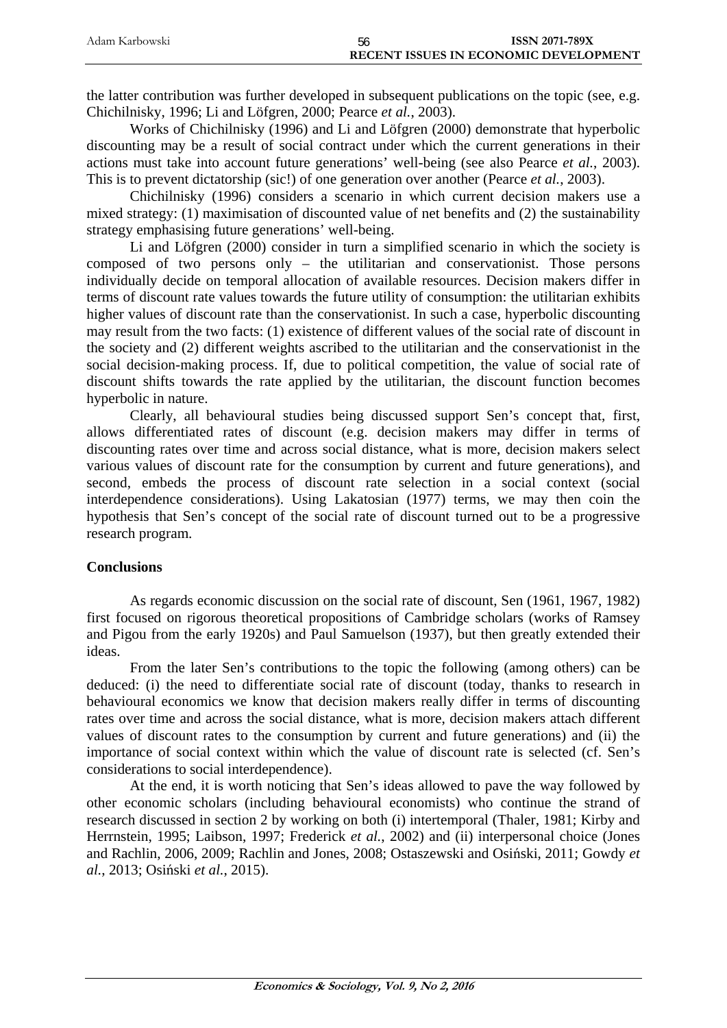| Adam Karbowski | bb | ISSN 2071-789X                               |
|----------------|----|----------------------------------------------|
|                |    | <b>RECENT ISSUES IN ECONOMIC DEVELOPMENT</b> |

the latter contribution was further developed in subsequent publications on the topic (see, e.g. Chichilnisky, 1996; Li and Löfgren, 2000; Pearce *et al.*, 2003).

Works of Chichilnisky (1996) and Li and Löfgren (2000) demonstrate that hyperbolic discounting may be a result of social contract under which the current generations in their actions must take into account future generations' well-being (see also Pearce *et al.*, 2003). This is to prevent dictatorship (sic!) of one generation over another (Pearce *et al.*, 2003).

Chichilnisky (1996) considers a scenario in which current decision makers use a mixed strategy: (1) maximisation of discounted value of net benefits and (2) the sustainability strategy emphasising future generations' well-being.

Li and Löfgren (2000) consider in turn a simplified scenario in which the society is composed of two persons only – the utilitarian and conservationist. Those persons individually decide on temporal allocation of available resources. Decision makers differ in terms of discount rate values towards the future utility of consumption: the utilitarian exhibits higher values of discount rate than the conservationist. In such a case, hyperbolic discounting may result from the two facts: (1) existence of different values of the social rate of discount in the society and (2) different weights ascribed to the utilitarian and the conservationist in the social decision-making process. If, due to political competition, the value of social rate of discount shifts towards the rate applied by the utilitarian, the discount function becomes hyperbolic in nature.

Clearly, all behavioural studies being discussed support Sen's concept that, first, allows differentiated rates of discount (e.g. decision makers may differ in terms of discounting rates over time and across social distance, what is more, decision makers select various values of discount rate for the consumption by current and future generations), and second, embeds the process of discount rate selection in a social context (social interdependence considerations). Using Lakatosian (1977) terms, we may then coin the hypothesis that Sen's concept of the social rate of discount turned out to be a progressive research program.

## **Conclusions**

As regards economic discussion on the social rate of discount, Sen (1961, 1967, 1982) first focused on rigorous theoretical propositions of Cambridge scholars (works of Ramsey and Pigou from the early 1920s) and Paul Samuelson (1937), but then greatly extended their ideas.

From the later Sen's contributions to the topic the following (among others) can be deduced: (i) the need to differentiate social rate of discount (today, thanks to research in behavioural economics we know that decision makers really differ in terms of discounting rates over time and across the social distance, what is more, decision makers attach different values of discount rates to the consumption by current and future generations) and (ii) the importance of social context within which the value of discount rate is selected (cf. Sen's considerations to social interdependence).

At the end, it is worth noticing that Sen's ideas allowed to pave the way followed by other economic scholars (including behavioural economists) who continue the strand of research discussed in section 2 by working on both (i) intertemporal (Thaler, 1981; Kirby and Herrnstein, 1995; Laibson, 1997; Frederick *et al.*, 2002) and (ii) interpersonal choice (Jones and Rachlin, 2006, 2009; Rachlin and Jones, 2008; Ostaszewski and Osiński, 2011; Gowdy *et al.*, 2013; Osiński *et al.*, 2015).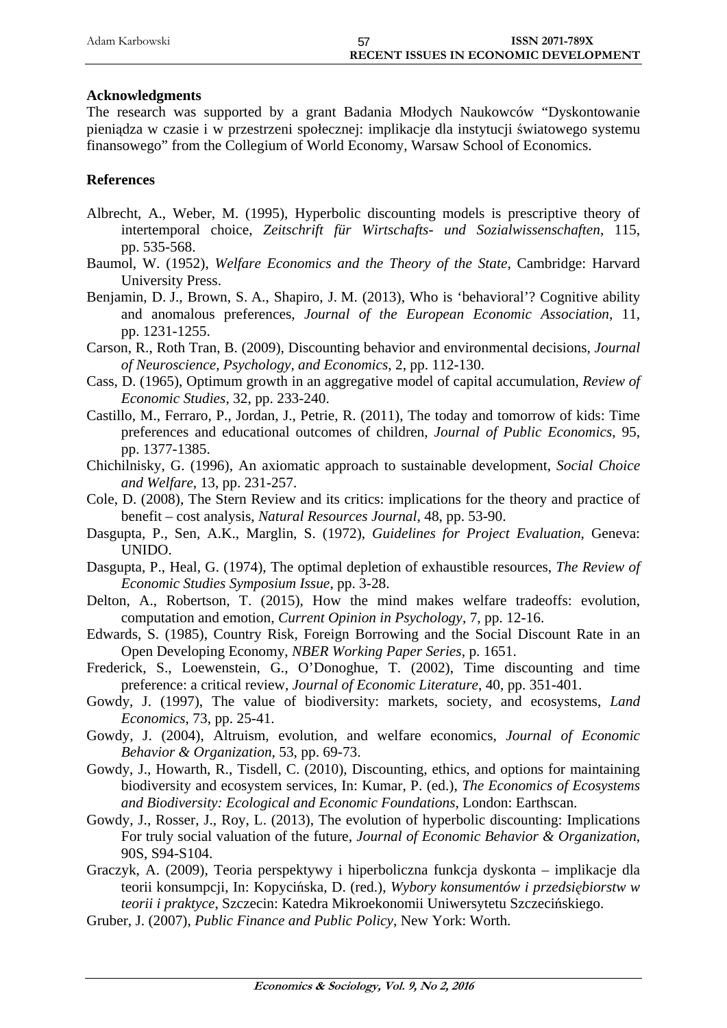| Adam Karbowski | <b>ISSN 2071-789X</b>                        |  |
|----------------|----------------------------------------------|--|
|                | <b>RECENT ISSUES IN ECONOMIC DEVELOPMENT</b> |  |

#### **Acknowledgments**

The research was supported by a grant Badania Młodych Naukowców "Dyskontowanie pieniądza w czasie i w przestrzeni społecznej: implikacje dla instytucji światowego systemu finansowego" from the Collegium of World Economy, Warsaw School of Economics.

#### **References**

- Albrecht, A., Weber, M. (1995), Hyperbolic discounting models is prescriptive theory of intertemporal choice, *Zeitschrift für Wirtschafts- und Sozialwissenschaften*, 115, pp. 535-568.
- Baumol, W. (1952), *Welfare Economics and the Theory of the State*, Cambridge: Harvard University Press.
- Benjamin, D. J., Brown, S. A., Shapiro, J. M. (2013), Who is 'behavioral'? Cognitive ability and anomalous preferences, *Journal of the European Economic Association*, 11, pp. 1231-1255.
- Carson, R., Roth Tran, B. (2009), Discounting behavior and environmental decisions, *Journal of Neuroscience, Psychology, and Economics*, 2, pp. 112-130.
- Cass, D. (1965), Optimum growth in an aggregative model of capital accumulation, *Review of Economic Studies*, 32, pp. 233-240.
- Castillo, M., Ferraro, P., Jordan, J., Petrie, R. (2011), The today and tomorrow of kids: Time preferences and educational outcomes of children, *Journal of Public Economics*, 95, pp. 1377-1385.
- Chichilnisky, G. (1996), An axiomatic approach to sustainable development, *Social Choice and Welfare*, 13, pp. 231-257.
- Cole, D. (2008), The Stern Review and its critics: implications for the theory and practice of benefit – cost analysis, *Natural Resources Journal*, 48, pp. 53-90.
- Dasgupta, P., Sen, A.K., Marglin, S. (1972), *Guidelines for Project Evaluation*, Geneva: UNIDO.
- Dasgupta, P., Heal, G. (1974), The optimal depletion of exhaustible resources, *The Review of Economic Studies Symposium Issue*, pp. 3-28.
- Delton, A., Robertson, T. (2015), How the mind makes welfare tradeoffs: evolution, computation and emotion, *Current Opinion in Psychology*, 7, pp. 12-16.
- Edwards, S. (1985), Country Risk, Foreign Borrowing and the Social Discount Rate in an Open Developing Economy, *NBER Working Paper Series*, p. 1651.
- Frederick, S., Loewenstein, G., O'Donoghue, T. (2002), Time discounting and time preference: a critical review, *Journal of Economic Literature*, 40, pp. 351-401.
- Gowdy, J. (1997), The value of biodiversity: markets, society, and ecosystems, *Land Economics*, 73, pp. 25-41.
- Gowdy, J. (2004), Altruism, evolution, and welfare economics, *Journal of Economic Behavior & Organization*, 53, pp. 69-73.
- Gowdy, J., Howarth, R., Tisdell, C. (2010), Discounting, ethics, and options for maintaining biodiversity and ecosystem services, In: Kumar, P. (ed.), *The Economics of Ecosystems and Biodiversity: Ecological and Economic Foundations*, London: Earthscan.
- Gowdy, J., Rosser, J., Roy, L. (2013), The evolution of hyperbolic discounting: Implications For truly social valuation of the future, *Journal of Economic Behavior & Organization*, 90S, S94-S104.
- Graczyk, A. (2009), Teoria perspektywy i hiperboliczna funkcja dyskonta implikacje dla teorii konsumpcji, In: Kopycińska, D. (red.), *Wybory konsumentów i przedsiębiorstw w teorii i praktyce*, Szczecin: Katedra Mikroekonomii Uniwersytetu Szczecińskiego.
- Gruber, J. (2007), *Public Finance and Public Policy*, New York: Worth.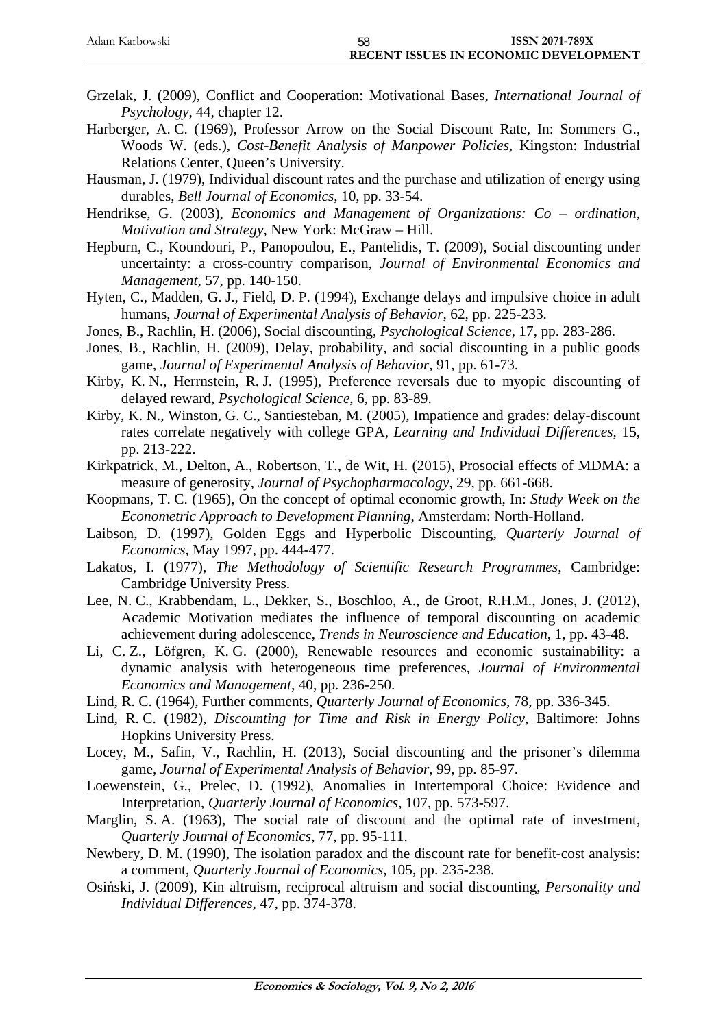| Adam Karbowski | ISSN 2071-789X<br>58                         |  |
|----------------|----------------------------------------------|--|
|                | <b>RECENT ISSUES IN ECONOMIC DEVELOPMENT</b> |  |

- Grzelak, J. (2009), Conflict and Cooperation: Motivational Bases, *International Journal of Psychology*, 44, chapter 12.
- Harberger, A. C. (1969), Professor Arrow on the Social Discount Rate, In: Sommers G., Woods W. (eds.), *Cost-Benefit Analysis of Manpower Policies*, Kingston: Industrial Relations Center, Queen's University.
- Hausman, J. (1979), Individual discount rates and the purchase and utilization of energy using durables, *Bell Journal of Economics*, 10, pp. 33-54.
- Hendrikse, G. (2003), *Economics and Management of Organizations: Co ordination, Motivation and Strategy*, New York: McGraw – Hill.
- Hepburn, C., Koundouri, P., Panopoulou, E., Pantelidis, T. (2009), Social discounting under uncertainty: a cross-country comparison, *Journal of Environmental Economics and Management*, 57, pp. 140-150.
- Hyten, C., Madden, G. J., Field, D. P. (1994), Exchange delays and impulsive choice in adult humans, *Journal of Experimental Analysis of Behavior*, 62, pp. 225-233.
- Jones, B., Rachlin, H. (2006), Social discounting, *Psychological Science*, 17, pp. 283-286.
- Jones, B., Rachlin, H. (2009), Delay, probability, and social discounting in a public goods game, *Journal of Experimental Analysis of Behavior*, 91, pp. 61-73.
- Kirby, K. N., Herrnstein, R. J. (1995), Preference reversals due to myopic discounting of delayed reward, *Psychological Science*, 6, pp. 83-89.
- Kirby, K. N., Winston, G. C., Santiesteban, M. (2005), Impatience and grades: delay-discount rates correlate negatively with college GPA, *Learning and Individual Differences*, 15, pp. 213-222.
- Kirkpatrick, M., Delton, A., Robertson, T., de Wit, H. (2015), Prosocial effects of MDMA: a measure of generosity, *Journal of Psychopharmacology*, 29, pp. 661-668.
- Koopmans, T. C. (1965), On the concept of optimal economic growth, In: *Study Week on the Econometric Approach to Development Planning*, Amsterdam: North-Holland.
- Laibson, D. (1997), Golden Eggs and Hyperbolic Discounting, *Quarterly Journal of Economics*, May 1997, pp. 444-477.
- Lakatos, I. (1977), *The Methodology of Scientific Research Programmes*, Cambridge: Cambridge University Press.
- Lee, N. C., Krabbendam, L., Dekker, S., Boschloo, A., de Groot, R.H.M., Jones, J. (2012), Academic Motivation mediates the influence of temporal discounting on academic achievement during adolescence, *Trends in Neuroscience and Education*, 1, pp. 43-48.
- Li, C. Z., Löfgren, K. G. (2000), Renewable resources and economic sustainability: a dynamic analysis with heterogeneous time preferences, *Journal of Environmental Economics and Management*, 40, pp. 236-250.
- Lind, R. C. (1964), Further comments, *Quarterly Journal of Economics*, 78, pp. 336-345.
- Lind, R. C. (1982), *Discounting for Time and Risk in Energy Policy*, Baltimore: Johns Hopkins University Press.
- Locey, M., Safin, V., Rachlin, H. (2013), Social discounting and the prisoner's dilemma game, *Journal of Experimental Analysis of Behavior*, 99, pp. 85-97.
- Loewenstein, G., Prelec, D. (1992), Anomalies in Intertemporal Choice: Evidence and Interpretation, *Quarterly Journal of Economics*, 107, pp. 573-597.
- Marglin, S. A. (1963), The social rate of discount and the optimal rate of investment, *Quarterly Journal of Economics*, 77, pp. 95-111.
- Newbery, D. M. (1990), The isolation paradox and the discount rate for benefit-cost analysis: a comment, *Quarterly Journal of Economics*, 105, pp. 235-238.
- Osiński, J. (2009), Kin altruism, reciprocal altruism and social discounting, *Personality and Individual Differences*, 47, pp. 374-378.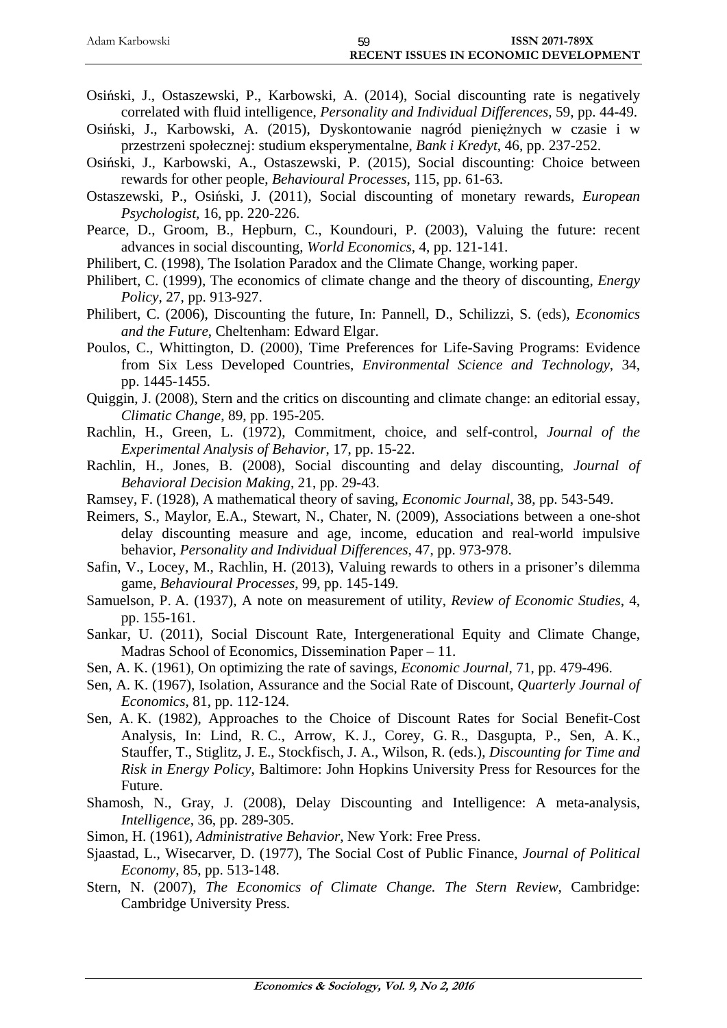| Adam Karbowski |                                       | <b>ISSN 2071-789X</b> |
|----------------|---------------------------------------|-----------------------|
|                | RECENT ISSUES IN ECONOMIC DEVELOPMENT |                       |

- Osiński, J., Ostaszewski, P., Karbowski, A. (2014), Social discounting rate is negatively correlated with fluid intelligence, *Personality and Individual Differences*, 59, pp. 44-49.
- Osiński, J., Karbowski, A. (2015), Dyskontowanie nagród pieniężnych w czasie i w przestrzeni społecznej: studium eksperymentalne, *Bank i Kredyt*, 46, pp. 237-252.
- Osiński, J., Karbowski, A., Ostaszewski, P. (2015), Social discounting: Choice between rewards for other people, *Behavioural Processes*, 115, pp. 61-63.
- Ostaszewski, P., Osiński, J. (2011), Social discounting of monetary rewards, *European Psychologist*, 16, pp. 220-226.
- Pearce, D., Groom, B., Hepburn, C., Koundouri, P. (2003), Valuing the future: recent advances in social discounting, *World Economics*, 4, pp. 121-141.
- Philibert, C. (1998), The Isolation Paradox and the Climate Change, working paper.
- Philibert, C. (1999), The economics of climate change and the theory of discounting, *Energy Policy*, 27, pp. 913-927.
- Philibert, C. (2006), Discounting the future, In: Pannell, D., Schilizzi, S. (eds), *Economics and the Future*, Cheltenham: Edward Elgar.
- Poulos, C., Whittington, D. (2000), Time Preferences for Life-Saving Programs: Evidence from Six Less Developed Countries, *Environmental Science and Technology*, 34, pp. 1445-1455.
- Quiggin, J. (2008), Stern and the critics on discounting and climate change: an editorial essay, *Climatic Change*, 89, pp. 195-205.
- Rachlin, H., Green, L. (1972), Commitment, choice, and self-control, *Journal of the Experimental Analysis of Behavior*, 17, pp. 15-22.
- Rachlin, H., Jones, B. (2008), Social discounting and delay discounting, *Journal of Behavioral Decision Making*, 21, pp. 29-43.
- Ramsey, F. (1928), A mathematical theory of saving, *Economic Journal*, 38, pp. 543-549.
- Reimers, S., Maylor, E.A., Stewart, N., Chater, N. (2009), Associations between a one-shot delay discounting measure and age, income, education and real-world impulsive behavior, *Personality and Individual Differences*, 47, pp. 973-978.
- Safin, V., Locey, M., Rachlin, H. (2013), Valuing rewards to others in a prisoner's dilemma game, *Behavioural Processes*, 99, pp. 145-149.
- Samuelson, P. A. (1937), A note on measurement of utility, *Review of Economic Studies*, 4, pp. 155-161.
- Sankar, U. (2011), Social Discount Rate, Intergenerational Equity and Climate Change, Madras School of Economics, Dissemination Paper – 11.
- Sen, A. K. (1961), On optimizing the rate of savings, *Economic Journal*, 71, pp. 479-496.
- Sen, A. K. (1967), Isolation, Assurance and the Social Rate of Discount, *Quarterly Journal of Economics*, 81, pp. 112-124.
- Sen, A. K. (1982), Approaches to the Choice of Discount Rates for Social Benefit-Cost Analysis, In: Lind, R. C., Arrow, K. J., Corey, G. R., Dasgupta, P., Sen, A. K., Stauffer, T., Stiglitz, J. E., Stockfisch, J. A., Wilson, R. (eds.), *Discounting for Time and Risk in Energy Policy*, Baltimore: John Hopkins University Press for Resources for the Future.
- Shamosh, N., Gray, J. (2008), Delay Discounting and Intelligence: A meta-analysis, *Intelligence*, 36, pp. 289-305.
- Simon, H. (1961), *Administrative Behavior*, New York: Free Press.
- Sjaastad, L., Wisecarver, D. (1977), The Social Cost of Public Finance, *Journal of Political Economy*, 85, pp. 513-148.
- Stern, N. (2007), *The Economics of Climate Change. The Stern Review*, Cambridge: Cambridge University Press.